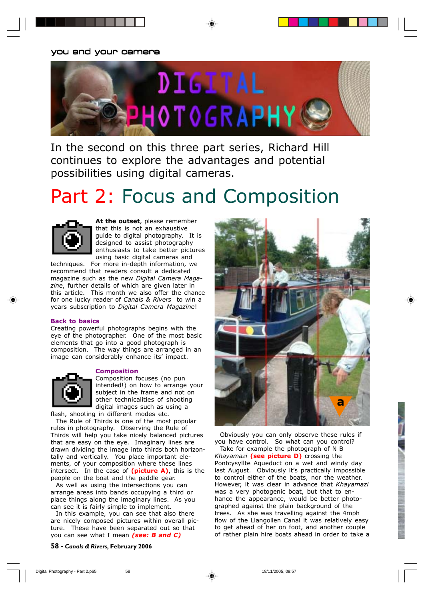# you and your camera



In the second on this three part series, Richard Hill continues to explore the advantages and potential possibilities using digital cameras.

# Part 2: Focus and Composition



**At the outset**, please remember that this is not an exhaustive guide to digital photography. It is designed to assist photography enthusiasts to take better pictures using basic digital cameras and

techniques. For more in-depth information, we recommend that readers consult a dedicated magazine such as the new *Digital Camera Magazine*, further details of which are given later in this article. This month we also offer the chance for one lucky reader of *Canals & Rivers* to win a years subscription to *Digital Camera Magazine*!

#### **Back to basics**

Creating powerful photographs begins with the eye of the photographer. One of the most basic elements that go into a good photograph is composition. The way things are arranged in an image can considerably enhance its' impact.

#### **Composition**

Composition focuses (no pun intended!) on how to arrange your subject in the frame and not on other technicalities of shooting digital images such as using a

flash, shooting in different modes etc. The Rule of Thirds is one of the most popular rules in photography. Observing the Rule of Thirds will help you take nicely balanced pictures that are easy on the eye. Imaginary lines are drawn dividing the image into thirds both horizontally and vertically. You place important elements, of your composition where these lines intersect. In the case of **(picture A)**, this is the people on the boat and the paddle gear.

As well as using the intersections you can arrange areas into bands occupying a third or place things along the imaginary lines. As you can see it is fairly simple to implement.

In this example, you can see that also there are nicely composed pictures within overall picture. These have been separated out so that you can see what I mean *(see: B and C)*

**58 -** *Canals & Rivers***, February 2006**



Obviously you can only observe these rules if you have control. So what can you control? Take for example the photograph of N B *Khayamazi* **(see picture D)** crossing the Pontcysyllte Aqueduct on a wet and windy day last August. Obviously it's practically impossible to control either of the boats, nor the weather. However, it was clear in advance that *Khayamazi* was a very photogenic boat, but that to enhance the appearance, would be better photographed against the plain background of the trees. As she was travelling against the 4mph flow of the Llangollen Canal it was relatively easy to get ahead of her on foot, and another couple of rather plain hire boats ahead in order to take a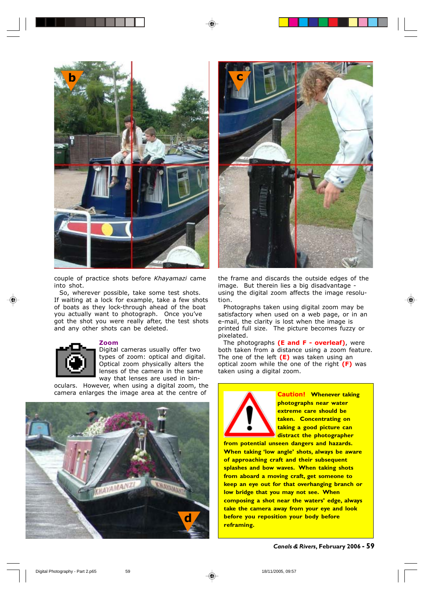

couple of practice shots before *Khayamazi* came into shot.

So, wherever possible, take some test shots. If waiting at a lock for example, take a few shots of boats as they lock-through ahead of the boat you actually want to photograph. Once you've got the shot you were really after, the test shots and any other shots can be deleted.



#### **Zoom**

Digital cameras usually offer two types of zoom: optical and digital. Optical zoom physically alters the lenses of the camera in the same way that lenses are used in bin-

oculars. However, when using a digital zoom, the camera enlarges the image area at the centre of





the frame and discards the outside edges of the image. But therein lies a big disadvantage using the digital zoom affects the image resolution.

Photographs taken using digital zoom may be satisfactory when used on a web page, or in an e-mail, the clarity is lost when the image is printed full size. The picture becomes fuzzy or pixelated.

The photographs **(E and F - overleaf)**, were both taken from a distance using a zoom feature. The one of the left **(E)** was taken using an optical zoom while the one of the right **(F)** was taken using a digital zoom.



**Caution! Whenever taking photographs near water extreme care should be taken. Concentrating on taking a good picture can distract the photographer**

**from potential unseen dangers and hazards. When taking 'low angle' shots, always be aware of approaching craft and their subsequent splashes and bow waves. When taking shots from aboard a moving craft, get someone to keep an eye out for that overhanging branch or low bridge that you may not see. When composing a shot near the waters' edge, always take the camera away from your eye and look before you reposition your body before reframing.**

*Canals & Rivers***, February 2006 - 59**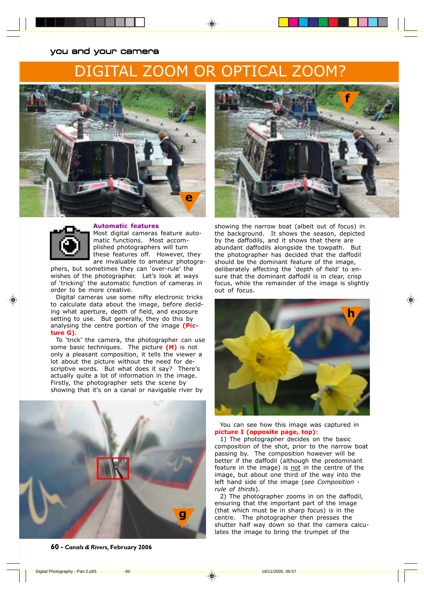## you and your camera

# . ZOOM OR OPTICAL ZOOM?





#### **Automatic features**

Most digital cameras feature automatic functions. Most accomplished photographers will turn these features off. However, they are invaluable to amateur photogra-

phers, but sometimes they can 'over-rule' the wishes of the photographer. Let's look at ways of 'tricking' the automatic function of cameras in order to be more creative.

Digital cameras use some nifty electronic tricks to calculate data about the image, before deciding what aperture, depth of field, and exposure setting to use. But generally, they do this by analysing the centre portion of the image **(Picture G)**.

To 'trick' the camera, the photographer can use some basic techniques. The picture **(H)** is not only a pleasant composition, it tells the viewer a lot about the picture without the need for descriptive words. But what does it say? There's actually quite a lot of information in the image. Firstly, the photographer sets the scene by showing that it's on a canal or navigable river by







showing the narrow boat (albeit out of focus) in the background. It shows the season, depicted by the daffodils, and it shows that there are abundant daffodils alongside the towpath. But the photographer has decided that the daffodil should be the dominant feature of the image, deliberately affecting the 'depth of field' to ensure that the dominant daffodil is in clear, crisp focus, while the remainder of the image is slightly out of focus.



You can see how this image was captured in **picture I (opposite page, top)**:

1) The photographer decides on the basic composition of the shot, prior to the narrow boat passing by. The composition however will be better if the daffodil (although the predominant feature in the image) is not in the centre of the image, but about one third of the way into the left hand side of the image (*see Composition rule of thirds*).

2) The photographer zooms in on the daffodil, ensuring that the important part of the image (that which must be in sharp focus) is in the centre. The photographer then presses the shutter half way down so that the camera calculates the image to bring the trumpet of the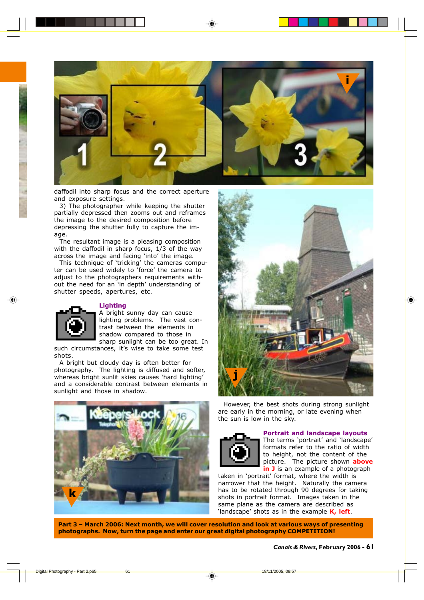

daffodil into sharp focus and the correct aperture and exposure settings.

3) The photographer while keeping the shutter partially depressed then zooms out and reframes the image to the desired composition before depressing the shutter fully to capture the image.

The resultant image is a pleasing composition with the daffodil in sharp focus, 1/3 of the way across the image and facing 'into' the image.

This technique of 'tricking' the cameras computer can be used widely to 'force' the camera to adjust to the photographers requirements without the need for an 'in depth' understanding of shutter speeds, apertures, etc.

#### **Lighting**



A bright sunny day can cause lighting problems. The vast contrast between the elements in shadow compared to those in sharp sunlight can be too great. In

such circumstances, it's wise to take some test shots.

A bright but cloudy day is often better for photography. The lighting is diffused and softer, whereas bright sunlit skies causes 'hard lighting' and a considerable contrast between elements in sunlight and those in shadow.





However, the best shots during strong sunlight are early in the morning, or late evening when the sun is low in the sky.



#### **Portrait and landscape layouts**

The terms 'portrait' and 'landscape' formats refer to the ratio of width to height, not the content of the picture. The picture shown **above in J** is an example of a photograph

taken in 'portrait' format, where the width is narrower that the height. Naturally the camera has to be rotated through 90 degrees for taking shots in portrait format. Images taken in the same plane as the camera are described as 'landscape' shots as in the example **K, left**.

**Part 3 – March 2006: Next month, we will cover resolution and look at various ways of presenting photographs. Now, turn the page and enter our great digital photography COMPETITION!**

*Canals & Rivers***, February 2006 - 61**